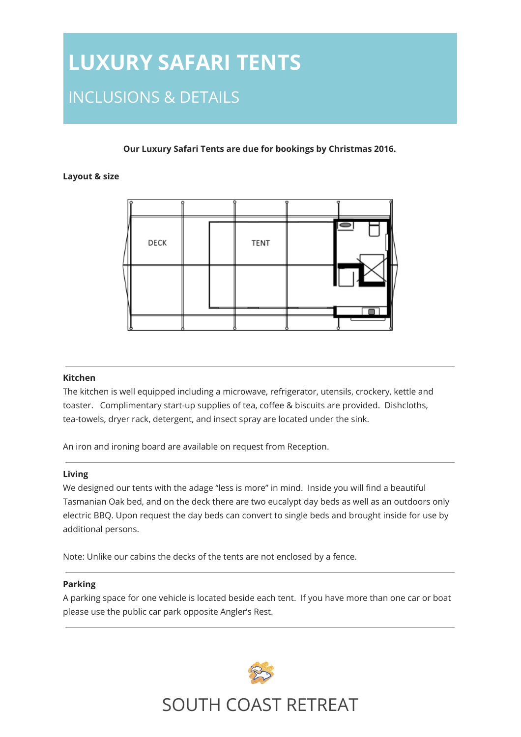# **LUXURY SAFARI TENTS** INCLUSIONS & DETAILS

### **Our Luxury Safari Tents are due for bookings by Christmas 2016.**

### **Layout & size**



#### **Kitchen**

The kitchen is well equipped including a microwave, refrigerator, utensils, crockery, kettle and toaster. Complimentary start-up supplies of tea, coffee & biscuits are provided. Dishcloths, tea-towels, dryer rack, detergent, and insect spray are located under the sink.

An iron and ironing board are available on request from Reception.

### **Living**

We designed our tents with the adage "less is more" in mind. Inside you will find a beautiful Tasmanian Oak bed, and on the deck there are two eucalypt day beds as well as an outdoors only electric BBQ. Upon request the day beds can convert to single beds and brought inside for use by additional persons.

Note: Unlike our cabins the decks of the tents are not enclosed by a fence.

### **Parking**

A parking space for one vehicle is located beside each tent. If you have more than one car or boat please use the public car park opposite Angler's Rest.



## SOUTH COAST RETREAT